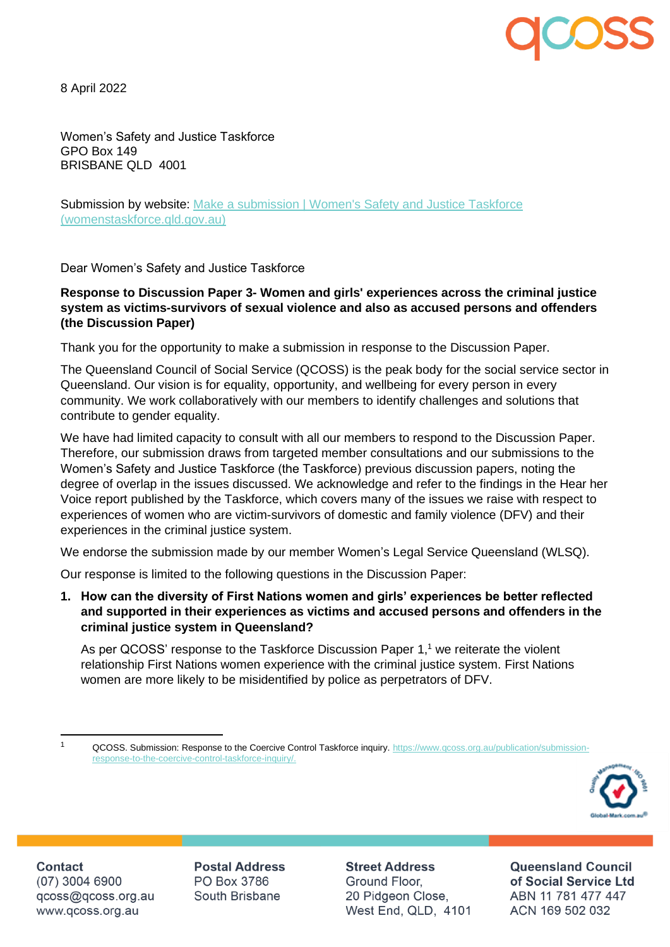

8 April 2022

Women's Safety and Justice Taskforce GPO Box 149 BRISBANE QLD 4001

Submission by website: Make a submission | Women's Safety and Justice Taskforce (womenstaskforce.qld.gov.au)

Dear Women's Safety and Justice Taskforce

## **Response to Discussion Paper 3- Women and girls' experiences across the criminal justice system as victims-survivors of sexual violence and also as accused persons and offenders (the Discussion Paper)**

Thank you for the opportunity to make a submission in response to the Discussion Paper.

The Queensland Council of Social Service (QCOSS) is the peak body for the social service sector in Queensland. Our vision is for equality, opportunity, and wellbeing for every person in every community. We work collaboratively with our members to identify challenges and solutions that contribute to gender equality.

We have had limited capacity to consult with all our members to respond to the Discussion Paper. Therefore, our submission draws from targeted member consultations and our submissions to the Women's Safety and Justice Taskforce (the Taskforce) previous discussion papers, noting the degree of overlap in the issues discussed. We acknowledge and refer to the findings in the Hear her Voice report published by the Taskforce, which covers many of the issues we raise with respect to experiences of women who are victim-survivors of domestic and family violence (DFV) and their experiences in the criminal justice system.

We endorse the submission made by our member Women's Legal Service Queensland (WLSQ).

Our response is limited to the following questions in the Discussion Paper:

**1. How can the diversity of First Nations women and girls' experiences be better reflected and supported in their experiences as victims and accused persons and offenders in the criminal justice system in Queensland?**

As per QCOSS' response to the Taskforce Discussion Paper 1,<sup>1</sup> we reiterate the violent relationship First Nations women experience with the criminal justice system. First Nations women are more likely to be misidentified by police as perpetrators of DFV.

1 QCOSS. Submission: Response to the Coercive Control Taskforce inquiry. https://www.qcoss.org.au/publication/submissionresponse-to-the-coercive-control-taskforce-inquiry/.



#### **Contact** (07) 3004 6900 qcoss@qcoss.org.au www.qcoss.org.au

**Postal Address** PO Box 3786 South Brisbane

**Street Address** Ground Floor. 20 Pidgeon Close, West End, QLD, 4101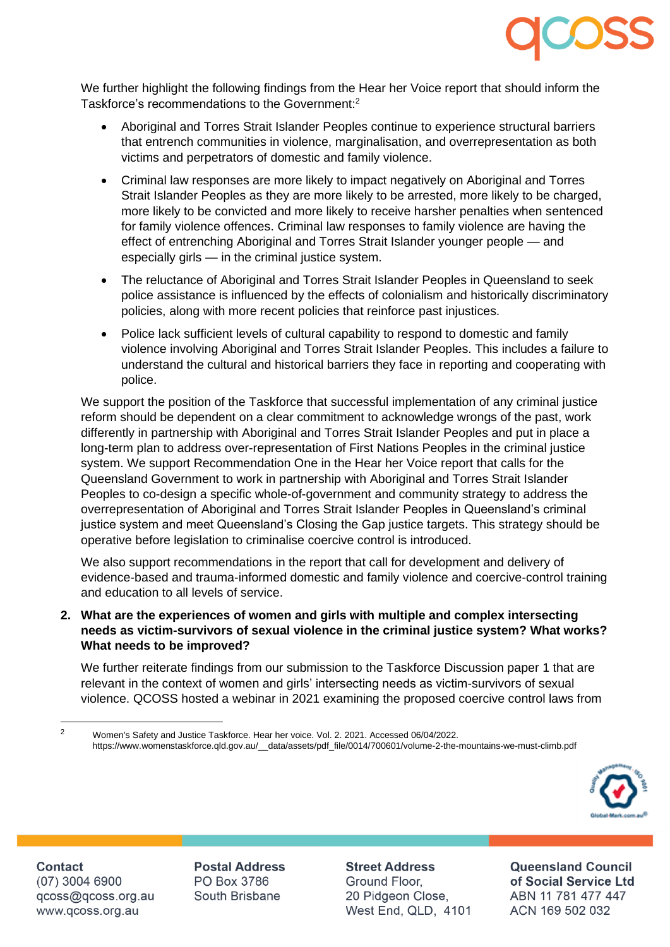

We further highlight the following findings from the Hear her Voice report that should inform the Taskforce's recommendations to the Government: 2

- Aboriginal and Torres Strait Islander Peoples continue to experience structural barriers that entrench communities in violence, marginalisation, and overrepresentation as both victims and perpetrators of domestic and family violence.
- Criminal law responses are more likely to impact negatively on Aboriginal and Torres Strait Islander Peoples as they are more likely to be arrested, more likely to be charged, more likely to be convicted and more likely to receive harsher penalties when sentenced for family violence offences. Criminal law responses to family violence are having the effect of entrenching Aboriginal and Torres Strait Islander younger people — and especially girls — in the criminal justice system.
- The reluctance of Aboriginal and Torres Strait Islander Peoples in Queensland to seek police assistance is influenced by the effects of colonialism and historically discriminatory policies, along with more recent policies that reinforce past injustices.
- Police lack sufficient levels of cultural capability to respond to domestic and family violence involving Aboriginal and Torres Strait Islander Peoples. This includes a failure to understand the cultural and historical barriers they face in reporting and cooperating with police.

We support the position of the Taskforce that successful implementation of any criminal justice reform should be dependent on a clear commitment to acknowledge wrongs of the past, work differently in partnership with Aboriginal and Torres Strait Islander Peoples and put in place a long-term plan to address over-representation of First Nations Peoples in the criminal justice system. We support Recommendation One in the Hear her Voice report that calls for the Queensland Government to work in partnership with Aboriginal and Torres Strait Islander Peoples to co-design a specific whole-of-government and community strategy to address the overrepresentation of Aboriginal and Torres Strait Islander Peoples in Queensland's criminal justice system and meet Queensland's Closing the Gap justice targets. This strategy should be operative before legislation to criminalise coercive control is introduced.

We also support recommendations in the report that call for development and delivery of evidence-based and trauma-informed domestic and family violence and coercive-control training and education to all levels of service.

**2. What are the experiences of women and girls with multiple and complex intersecting needs as victim-survivors of sexual violence in the criminal justice system? What works? What needs to be improved?**

We further reiterate findings from our submission to the Taskforce Discussion paper 1 that are relevant in the context of women and girls' intersecting needs as victim-survivors of sexual violence. QCOSS hosted a webinar in 2021 examining the proposed coercive control laws from

 $\overline{2}$ 

 Women's Safety and Justice Taskforce. Hear her voice. Vol. 2. 2021. Accessed 06/04/2022. https://www.womenstaskforce.qld.gov.au/\_\_data/assets/pdf\_file/0014/700601/volume-2-the-mountains-we-must-climb.pdf



**Contact** (07) 3004 6900 gcoss@gcoss.org.au www.qcoss.org.au

**Postal Address** PO Box 3786 South Brisbane

**Street Address** Ground Floor. 20 Pidgeon Close, West End, QLD, 4101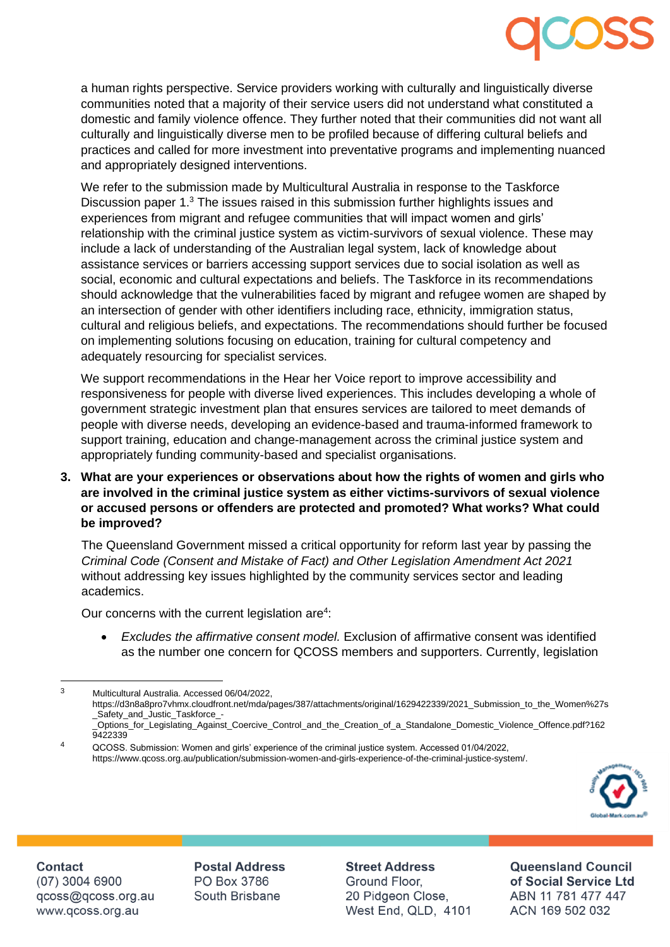

a human rights perspective. Service providers working with culturally and linguistically diverse communities noted that a majority of their service users did not understand what constituted a domestic and family violence offence. They further noted that their communities did not want all culturally and linguistically diverse men to be profiled because of differing cultural beliefs and practices and called for more investment into preventative programs and implementing nuanced and appropriately designed interventions.

We refer to the submission made by Multicultural Australia in response to the Taskforce Discussion paper 1.<sup>3</sup> The issues raised in this submission further highlights issues and experiences from migrant and refugee communities that will impact women and girls' relationship with the criminal justice system as victim-survivors of sexual violence. These may include a lack of understanding of the Australian legal system, lack of knowledge about assistance services or barriers accessing support services due to social isolation as well as social, economic and cultural expectations and beliefs. The Taskforce in its recommendations should acknowledge that the vulnerabilities faced by migrant and refugee women are shaped by an intersection of gender with other identifiers including race, ethnicity, immigration status, cultural and religious beliefs, and expectations. The recommendations should further be focused on implementing solutions focusing on education, training for cultural competency and adequately resourcing for specialist services.

We support recommendations in the Hear her Voice report to improve accessibility and responsiveness for people with diverse lived experiences. This includes developing a whole of government strategic investment plan that ensures services are tailored to meet demands of people with diverse needs, developing an evidence-based and trauma-informed framework to support training, education and change-management across the criminal justice system and appropriately funding community-based and specialist organisations.

# **3. What are your experiences or observations about how the rights of women and girls who are involved in the criminal justice system as either victims-survivors of sexual violence or accused persons or offenders are protected and promoted? What works? What could be improved?**

The Queensland Government missed a critical opportunity for reform last year by passing the *Criminal Code (Consent and Mistake of Fact) and Other Legislation Amendment Act 2021* without addressing key issues highlighted by the community services sector and leading academics.

Our concerns with the current legislation are<sup>4</sup>:

• *Excludes the affirmative consent model.* Exclusion of affirmative consent was identified as the number one concern for QCOSS members and supporters. Currently, legislation

https://d3n8a8pro7vhmx.cloudfront.net/mda/pages/387/attachments/original/1629422339/2021\_Submission\_to\_the\_Women%27s \_Safety\_and\_Justic\_Taskforce\_-

- \_Options\_for\_Legislating\_Against\_Coercive\_Control\_and\_the\_Creation\_of\_a\_Standalone\_Domestic\_Violence\_Offence.pdf?162 9422339
- <sup>4</sup> QCOSS. Submission: Women and girls' experience of the criminal justice system. Accessed 01/04/2022, https://www.qcoss.org.au/publication/submission-women-and-girls-experience-of-the-criminal-justice-system/.



Contact (07) 3004 6900 gcoss@gcoss.org.au www.qcoss.org.au

**Postal Address** PO Box 3786 South Brisbane

**Street Address** Ground Floor. 20 Pidgeon Close, West End, QLD, 4101

<sup>3</sup> Multicultural Australia. Accessed 06/04/2022,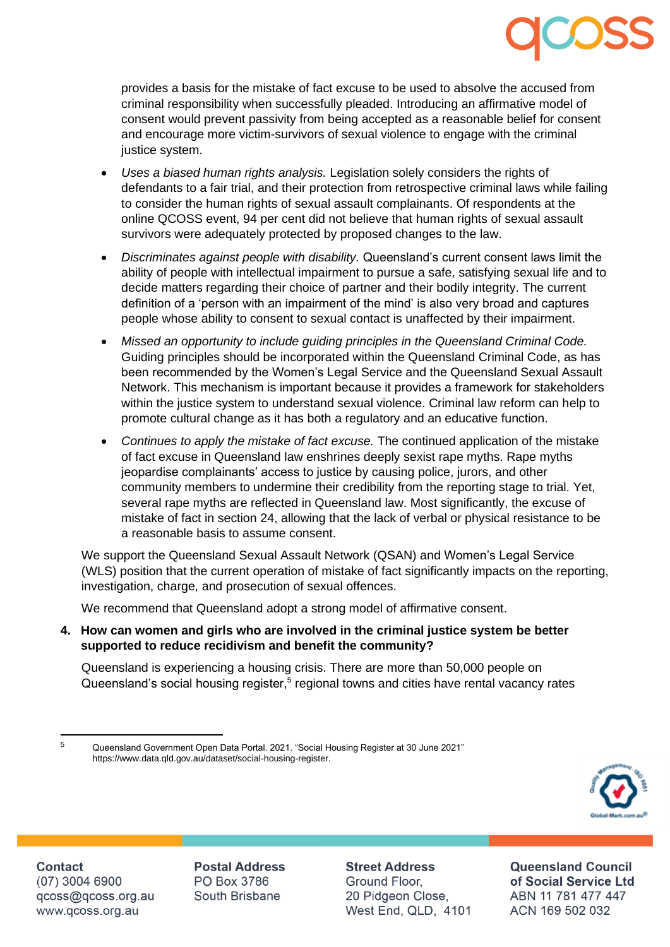

provides a basis for the mistake of fact excuse to be used to absolve the accused from criminal responsibility when successfully pleaded. Introducing an affirmative model of consent would prevent passivity from being accepted as a reasonable belief for consent and encourage more victim-survivors of sexual violence to engage with the criminal justice system.

- *Uses a biased human rights analysis.* Legislation solely considers the rights of defendants to a fair trial, and their protection from retrospective criminal laws while failing to consider the human rights of sexual assault complainants. Of respondents at the online QCOSS event, 94 per cent did not believe that human rights of sexual assault survivors were adequately protected by proposed changes to the law.
- *Discriminates against people with disability.* Queensland's current consent laws limit the ability of people with intellectual impairment to pursue a safe, satisfying sexual life and to decide matters regarding their choice of partner and their bodily integrity. The current definition of a 'person with an impairment of the mind' is also very broad and captures people whose ability to consent to sexual contact is unaffected by their impairment.
- *Missed an opportunity to include guiding principles in the Queensland Criminal Code.* Guiding principles should be incorporated within the Queensland Criminal Code, as has been recommended by the Women's Legal Service and the Queensland Sexual Assault Network. This mechanism is important because it provides a framework for stakeholders within the justice system to understand sexual violence. Criminal law reform can help to promote cultural change as it has both a regulatory and an educative function.
- *Continues to apply the mistake of fact excuse.* The continued application of the mistake of fact excuse in Queensland law enshrines deeply sexist rape myths. Rape myths jeopardise complainants' access to justice by causing police, jurors, and other community members to undermine their credibility from the reporting stage to trial. Yet, several rape myths are reflected in Queensland law. Most significantly, the excuse of mistake of fact in section 24, allowing that the lack of verbal or physical resistance to be a reasonable basis to assume consent.

We support the Queensland Sexual Assault Network (QSAN) and Women's Legal Service (WLS) position that the current operation of mistake of fact significantly impacts on the reporting, investigation, charge, and prosecution of sexual offences.

We recommend that Queensland adopt a strong model of affirmative consent.

# **4. How can women and girls who are involved in the criminal justice system be better supported to reduce recidivism and benefit the community?**

Queensland is experiencing a housing crisis. There are more than 50,000 people on Queensland's social housing register,<sup>5</sup> regional towns and cities have rental vacancy rates

<sup>5</sup> Queensland Government Open Data Portal. 2021. "Social Housing Register at 30 June 2021" https://www.data.qld.gov.au/dataset/social-housing-register.



## **Contact** (07) 3004 6900 gcoss@gcoss.org.au www.qcoss.org.au

**Postal Address** PO Box 3786 South Brisbane

**Street Address** Ground Floor. 20 Pidgeon Close, West End, QLD, 4101